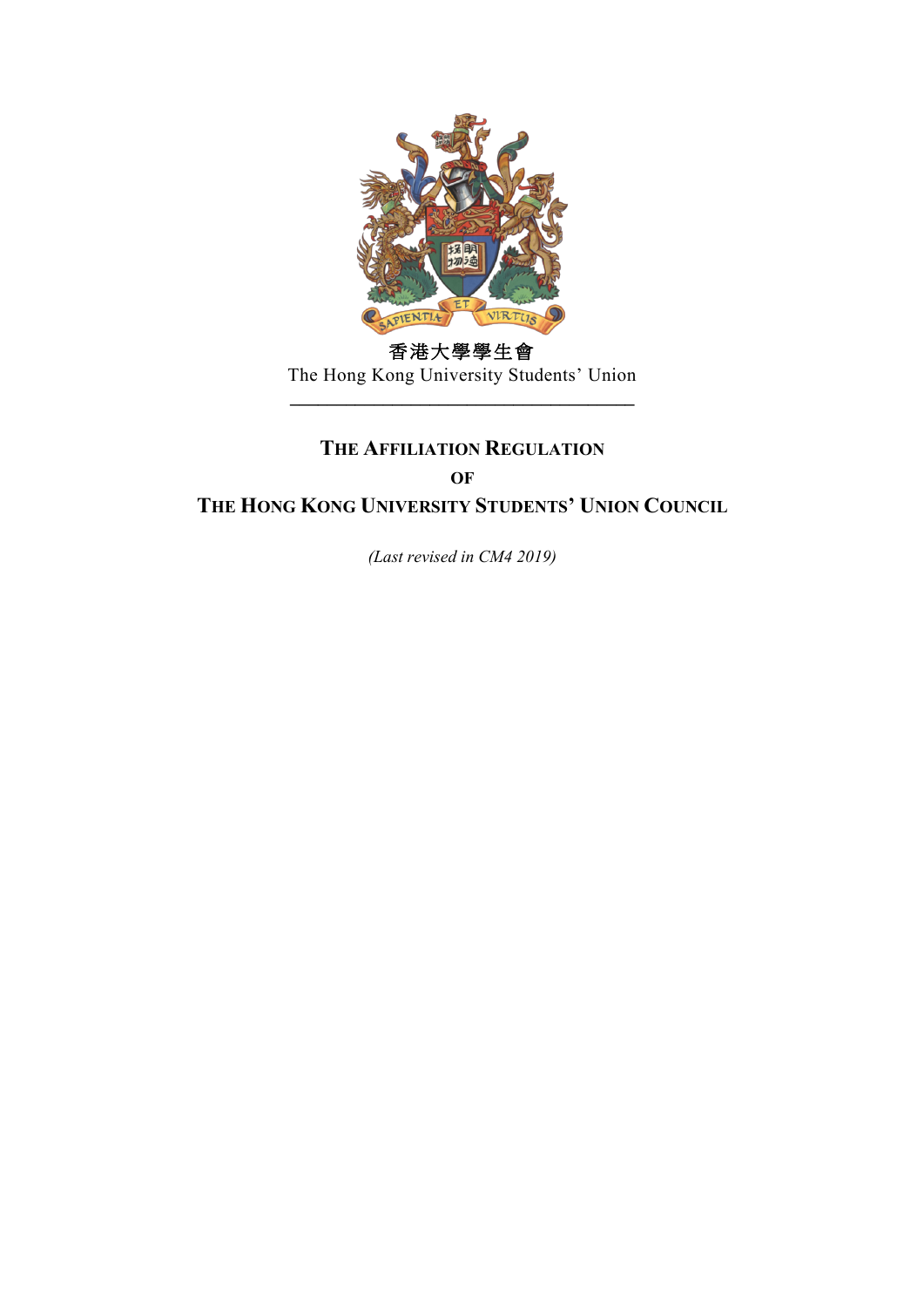

香港大學學生會 The Hong Kong University Students' Union

**\_\_\_\_\_\_\_\_\_\_\_\_\_\_\_\_\_\_\_\_\_\_\_\_\_\_\_\_\_\_\_\_\_\_\_\_\_**

# **THE AFFILIATION REGULATION OF THE HONG KONG UNIVERSITY STUDENTS' UNION COUNCIL**

*(Last revised in CM4 2019)*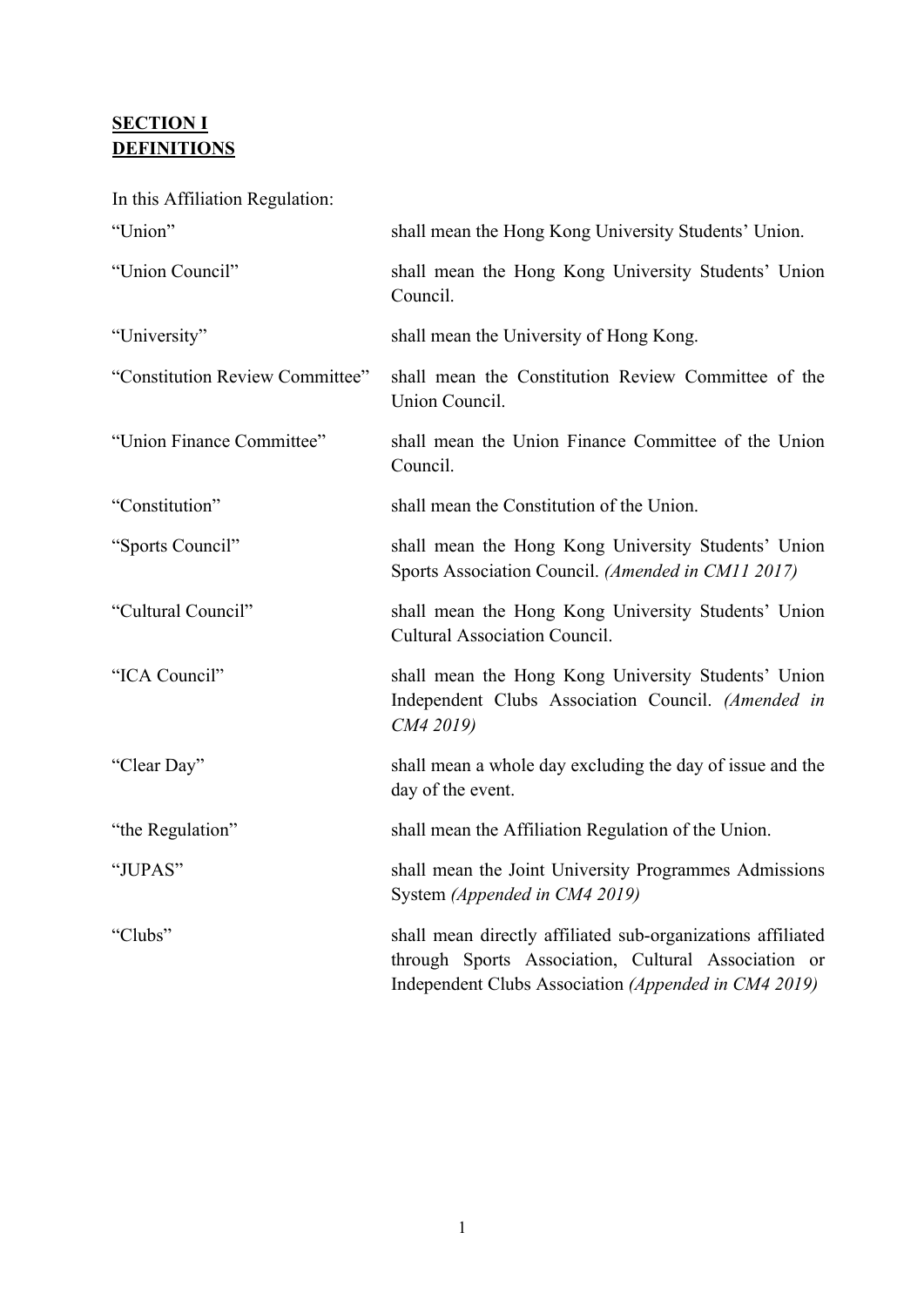## **SECTION I DEFINITIONS**

In this Affiliation Regulation:

| "Union"                         | shall mean the Hong Kong University Students' Union.                                                                                                                       |
|---------------------------------|----------------------------------------------------------------------------------------------------------------------------------------------------------------------------|
| "Union Council"                 | shall mean the Hong Kong University Students' Union<br>Council.                                                                                                            |
| "University"                    | shall mean the University of Hong Kong.                                                                                                                                    |
| "Constitution Review Committee" | shall mean the Constitution Review Committee of the<br>Union Council.                                                                                                      |
| "Union Finance Committee"       | shall mean the Union Finance Committee of the Union<br>Council.                                                                                                            |
| "Constitution"                  | shall mean the Constitution of the Union.                                                                                                                                  |
| "Sports Council"                | shall mean the Hong Kong University Students' Union<br>Sports Association Council. (Amended in CM11 2017)                                                                  |
| "Cultural Council"              | shall mean the Hong Kong University Students' Union<br><b>Cultural Association Council.</b>                                                                                |
| "ICA Council"                   | shall mean the Hong Kong University Students' Union<br>Independent Clubs Association Council. (Amended in<br>CM4 2019)                                                     |
| "Clear Day"                     | shall mean a whole day excluding the day of issue and the<br>day of the event.                                                                                             |
| "the Regulation"                | shall mean the Affiliation Regulation of the Union.                                                                                                                        |
| "JUPAS"                         | shall mean the Joint University Programmes Admissions<br>System (Appended in CM4 2019)                                                                                     |
| "Clubs"                         | shall mean directly affiliated sub-organizations affiliated<br>through Sports Association, Cultural Association or<br>Independent Clubs Association (Appended in CM4 2019) |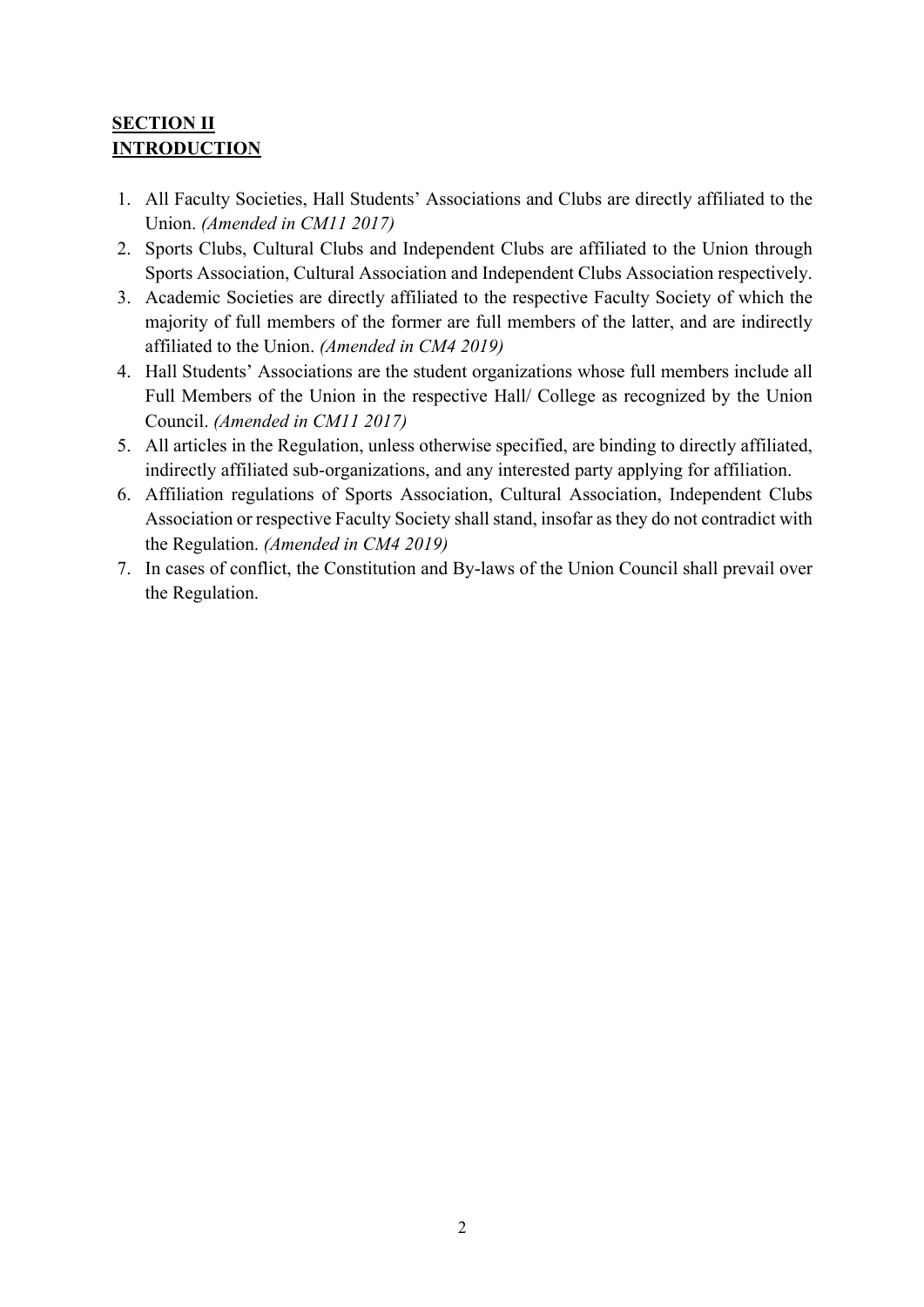## **SECTION II INTRODUCTION**

- 1. All Faculty Societies, Hall Students' Associations and Clubs are directly affiliated to the Union. *(Amended in CM11 2017)*
- 2. Sports Clubs, Cultural Clubs and Independent Clubs are affiliated to the Union through Sports Association, Cultural Association and Independent Clubs Association respectively.
- 3. Academic Societies are directly affiliated to the respective Faculty Society of which the majority of full members of the former are full members of the latter, and are indirectly affiliated to the Union. *(Amended in CM4 2019)*
- 4. Hall Students' Associations are the student organizations whose full members include all Full Members of the Union in the respective Hall/ College as recognized by the Union Council. *(Amended in CM11 2017)*
- 5. All articles in the Regulation, unless otherwise specified, are binding to directly affiliated, indirectly affiliated sub-organizations, and any interested party applying for affiliation.
- 6. Affiliation regulations of Sports Association, Cultural Association, Independent Clubs Association or respective Faculty Society shall stand, insofar as they do not contradict with the Regulation. *(Amended in CM4 2019)*
- 7. In cases of conflict, the Constitution and By-laws of the Union Council shall prevail over the Regulation.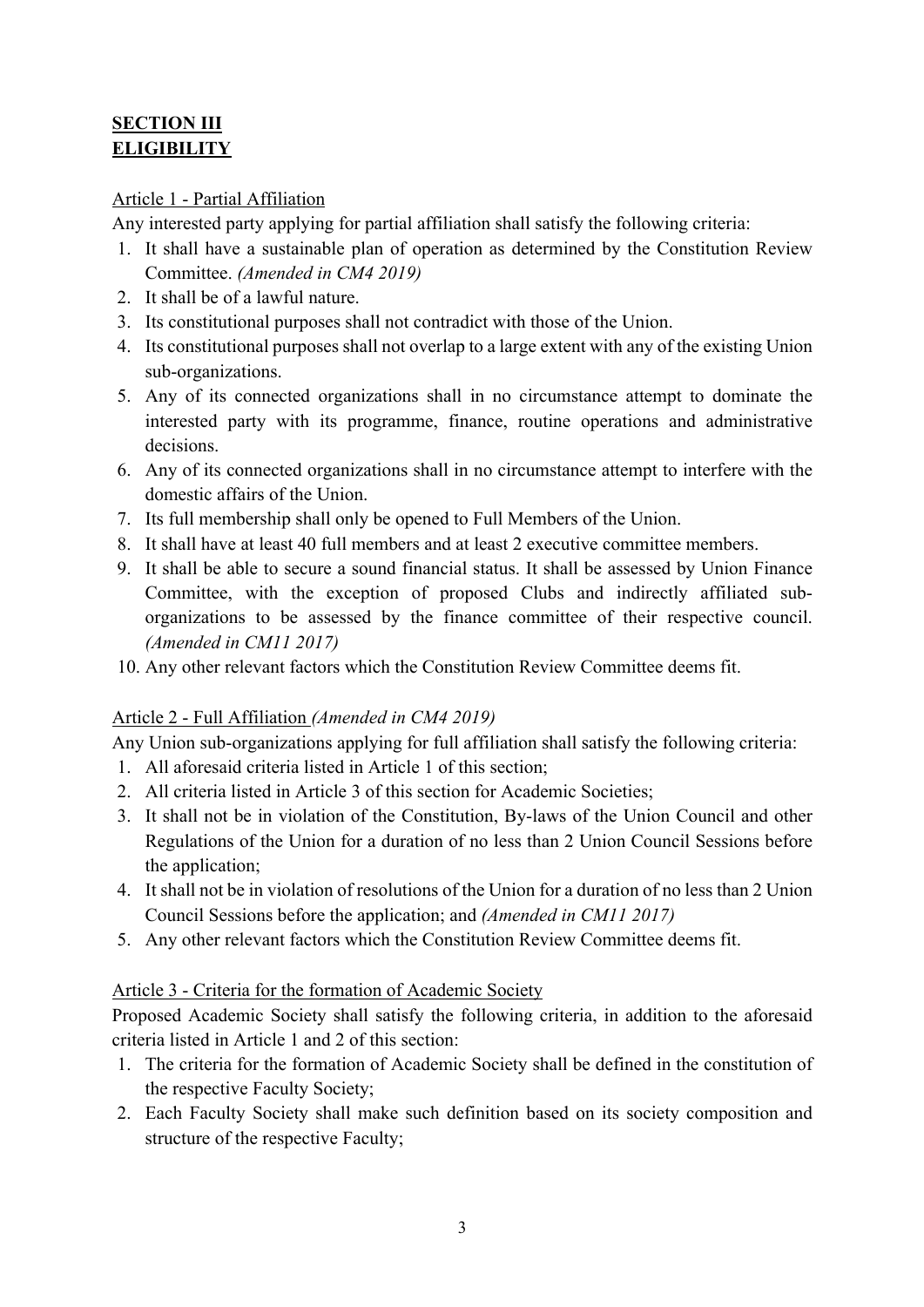## **SECTION III ELIGIBILITY**

### Article 1 - Partial Affiliation

Any interested party applying for partial affiliation shall satisfy the following criteria:

- 1. It shall have a sustainable plan of operation as determined by the Constitution Review Committee. *(Amended in CM4 2019)*
- 2. It shall be of a lawful nature.
- 3. Its constitutional purposes shall not contradict with those of the Union.
- 4. Its constitutional purposes shall not overlap to a large extent with any of the existing Union sub-organizations.
- 5. Any of its connected organizations shall in no circumstance attempt to dominate the interested party with its programme, finance, routine operations and administrative decisions.
- 6. Any of its connected organizations shall in no circumstance attempt to interfere with the domestic affairs of the Union.
- 7. Its full membership shall only be opened to Full Members of the Union.
- 8. It shall have at least 40 full members and at least 2 executive committee members.
- 9. It shall be able to secure a sound financial status. It shall be assessed by Union Finance Committee, with the exception of proposed Clubs and indirectly affiliated suborganizations to be assessed by the finance committee of their respective council. *(Amended in CM11 2017)*
- 10. Any other relevant factors which the Constitution Review Committee deems fit.

## Article 2 - Full Affiliation *(Amended in CM4 2019)*

Any Union sub-organizations applying for full affiliation shall satisfy the following criteria:

- 1. All aforesaid criteria listed in Article 1 of this section;
- 2. All criteria listed in Article 3 of this section for Academic Societies;
- 3. It shall not be in violation of the Constitution, By-laws of the Union Council and other Regulations of the Union for a duration of no less than 2 Union Council Sessions before the application;
- 4. It shall not be in violation of resolutions of the Union for a duration of no less than 2 Union Council Sessions before the application; and *(Amended in CM11 2017)*
- 5. Any other relevant factors which the Constitution Review Committee deems fit.

#### Article 3 - Criteria for the formation of Academic Society

Proposed Academic Society shall satisfy the following criteria, in addition to the aforesaid criteria listed in Article 1 and 2 of this section:

- 1. The criteria for the formation of Academic Society shall be defined in the constitution of the respective Faculty Society;
- 2. Each Faculty Society shall make such definition based on its society composition and structure of the respective Faculty;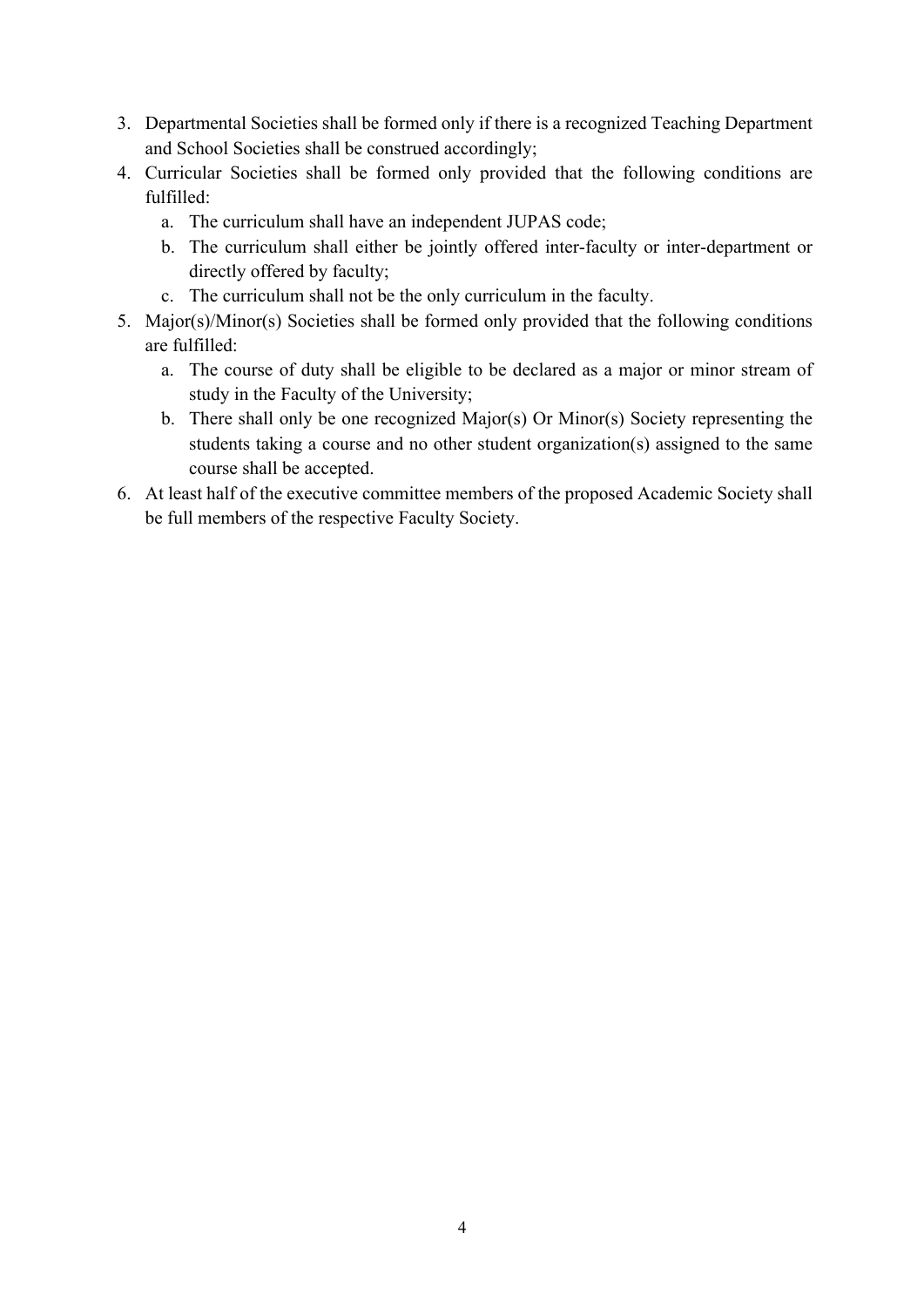- 3. Departmental Societies shall be formed only if there is a recognized Teaching Department and School Societies shall be construed accordingly;
- 4. Curricular Societies shall be formed only provided that the following conditions are fulfilled:
	- a. The curriculum shall have an independent JUPAS code;
	- b. The curriculum shall either be jointly offered inter-faculty or inter-department or directly offered by faculty;
	- c. The curriculum shall not be the only curriculum in the faculty.
- 5. Major(s)/Minor(s) Societies shall be formed only provided that the following conditions are fulfilled:
	- a. The course of duty shall be eligible to be declared as a major or minor stream of study in the Faculty of the University;
	- b. There shall only be one recognized Major(s) Or Minor(s) Society representing the students taking a course and no other student organization(s) assigned to the same course shall be accepted.
- 6. At least half of the executive committee members of the proposed Academic Society shall be full members of the respective Faculty Society.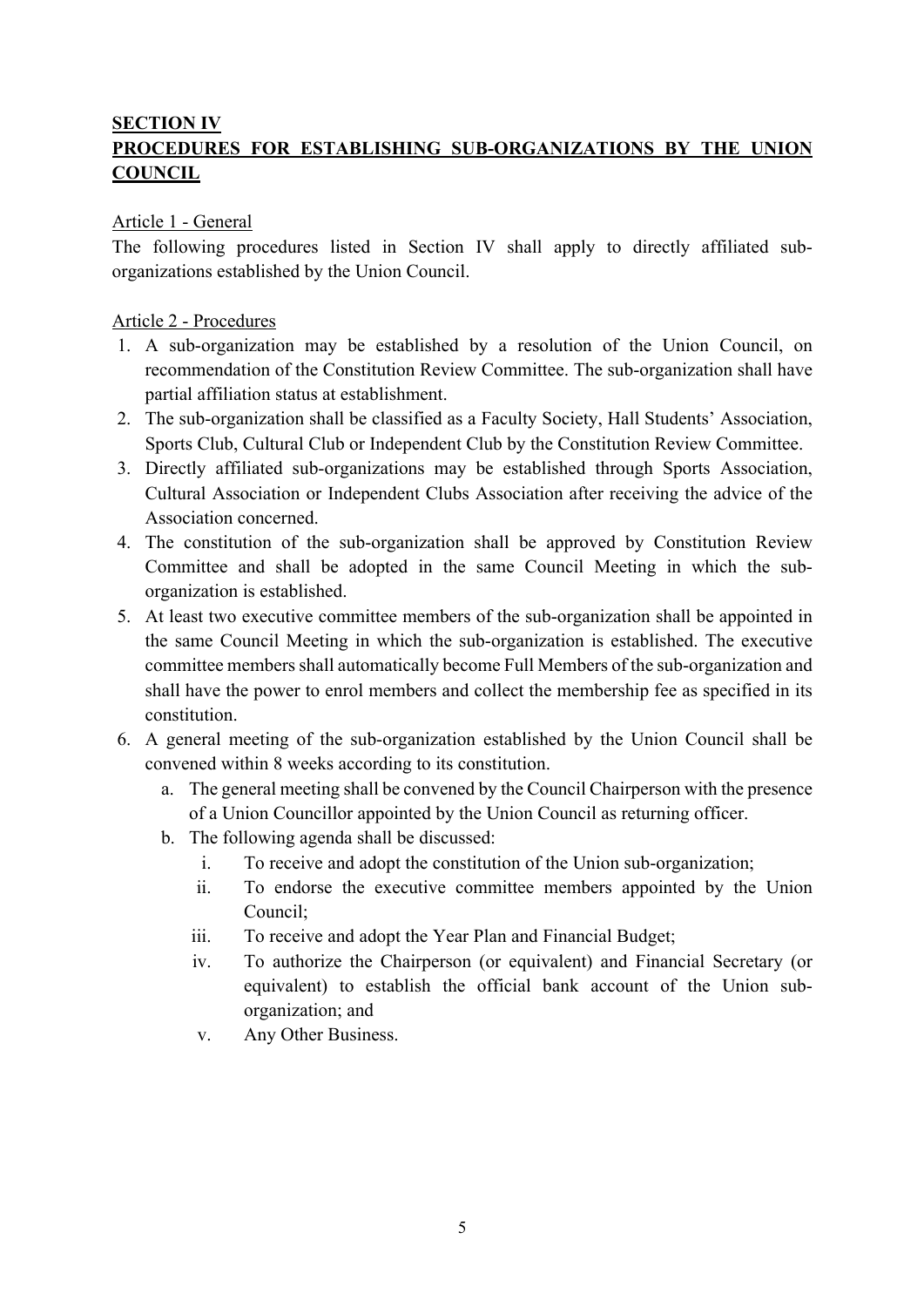### **SECTION IV**

## **PROCEDURES FOR ESTABLISHING SUB-ORGANIZATIONS BY THE UNION COUNCIL**

#### Article 1 - General

The following procedures listed in Section IV shall apply to directly affiliated suborganizations established by the Union Council.

#### Article 2 - Procedures

- 1. A sub-organization may be established by a resolution of the Union Council, on recommendation of the Constitution Review Committee. The sub-organization shall have partial affiliation status at establishment.
- 2. The sub-organization shall be classified as a Faculty Society, Hall Students' Association, Sports Club, Cultural Club or Independent Club by the Constitution Review Committee.
- 3. Directly affiliated sub-organizations may be established through Sports Association, Cultural Association or Independent Clubs Association after receiving the advice of the Association concerned.
- 4. The constitution of the sub-organization shall be approved by Constitution Review Committee and shall be adopted in the same Council Meeting in which the suborganization is established.
- 5. At least two executive committee members of the sub-organization shall be appointed in the same Council Meeting in which the sub-organization is established. The executive committee members shall automatically become Full Members of the sub-organization and shall have the power to enrol members and collect the membership fee as specified in its constitution.
- 6. A general meeting of the sub-organization established by the Union Council shall be convened within 8 weeks according to its constitution.
	- a. The general meeting shall be convened by the Council Chairperson with the presence of a Union Councillor appointed by the Union Council as returning officer.
	- b. The following agenda shall be discussed:
		- i. To receive and adopt the constitution of the Union sub-organization;
		- ii. To endorse the executive committee members appointed by the Union Council;
		- iii. To receive and adopt the Year Plan and Financial Budget;
		- iv. To authorize the Chairperson (or equivalent) and Financial Secretary (or equivalent) to establish the official bank account of the Union suborganization; and
		- v. Any Other Business.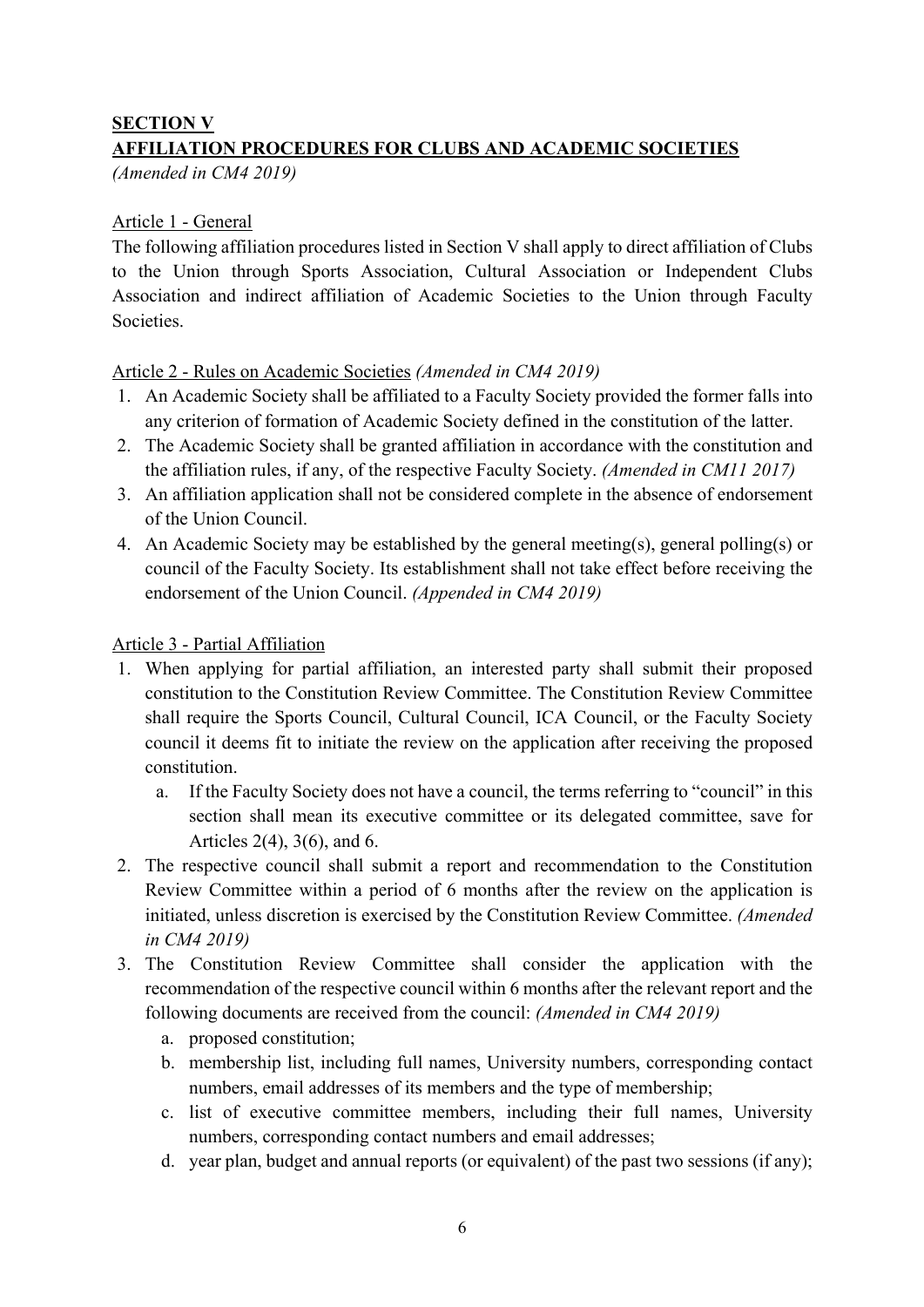### **SECTION V**

## **AFFILIATION PROCEDURES FOR CLUBS AND ACADEMIC SOCIETIES**

*(Amended in CM4 2019)*

#### Article 1 - General

The following affiliation procedures listed in Section V shall apply to direct affiliation of Clubs to the Union through Sports Association, Cultural Association or Independent Clubs Association and indirect affiliation of Academic Societies to the Union through Faculty Societies.

#### Article 2 - Rules on Academic Societies *(Amended in CM4 2019)*

- 1. An Academic Society shall be affiliated to a Faculty Society provided the former falls into any criterion of formation of Academic Society defined in the constitution of the latter.
- 2. The Academic Society shall be granted affiliation in accordance with the constitution and the affiliation rules, if any, of the respective Faculty Society. *(Amended in CM11 2017)*
- 3. An affiliation application shall not be considered complete in the absence of endorsement of the Union Council.
- 4. An Academic Society may be established by the general meeting(s), general polling(s) or council of the Faculty Society. Its establishment shall not take effect before receiving the endorsement of the Union Council. *(Appended in CM4 2019)*

#### Article 3 - Partial Affiliation

- 1. When applying for partial affiliation, an interested party shall submit their proposed constitution to the Constitution Review Committee. The Constitution Review Committee shall require the Sports Council, Cultural Council, ICA Council, or the Faculty Society council it deems fit to initiate the review on the application after receiving the proposed constitution.
	- a. If the Faculty Society does not have a council, the terms referring to "council" in this section shall mean its executive committee or its delegated committee, save for Articles 2(4), 3(6), and 6.
- 2. The respective council shall submit a report and recommendation to the Constitution Review Committee within a period of 6 months after the review on the application is initiated, unless discretion is exercised by the Constitution Review Committee. *(Amended in CM4 2019)*
- 3. The Constitution Review Committee shall consider the application with the recommendation of the respective council within 6 months after the relevant report and the following documents are received from the council: *(Amended in CM4 2019)*
	- a. proposed constitution;
	- b. membership list, including full names, University numbers, corresponding contact numbers, email addresses of its members and the type of membership;
	- c. list of executive committee members, including their full names, University numbers, corresponding contact numbers and email addresses;
	- d. year plan, budget and annual reports (or equivalent) of the past two sessions (if any);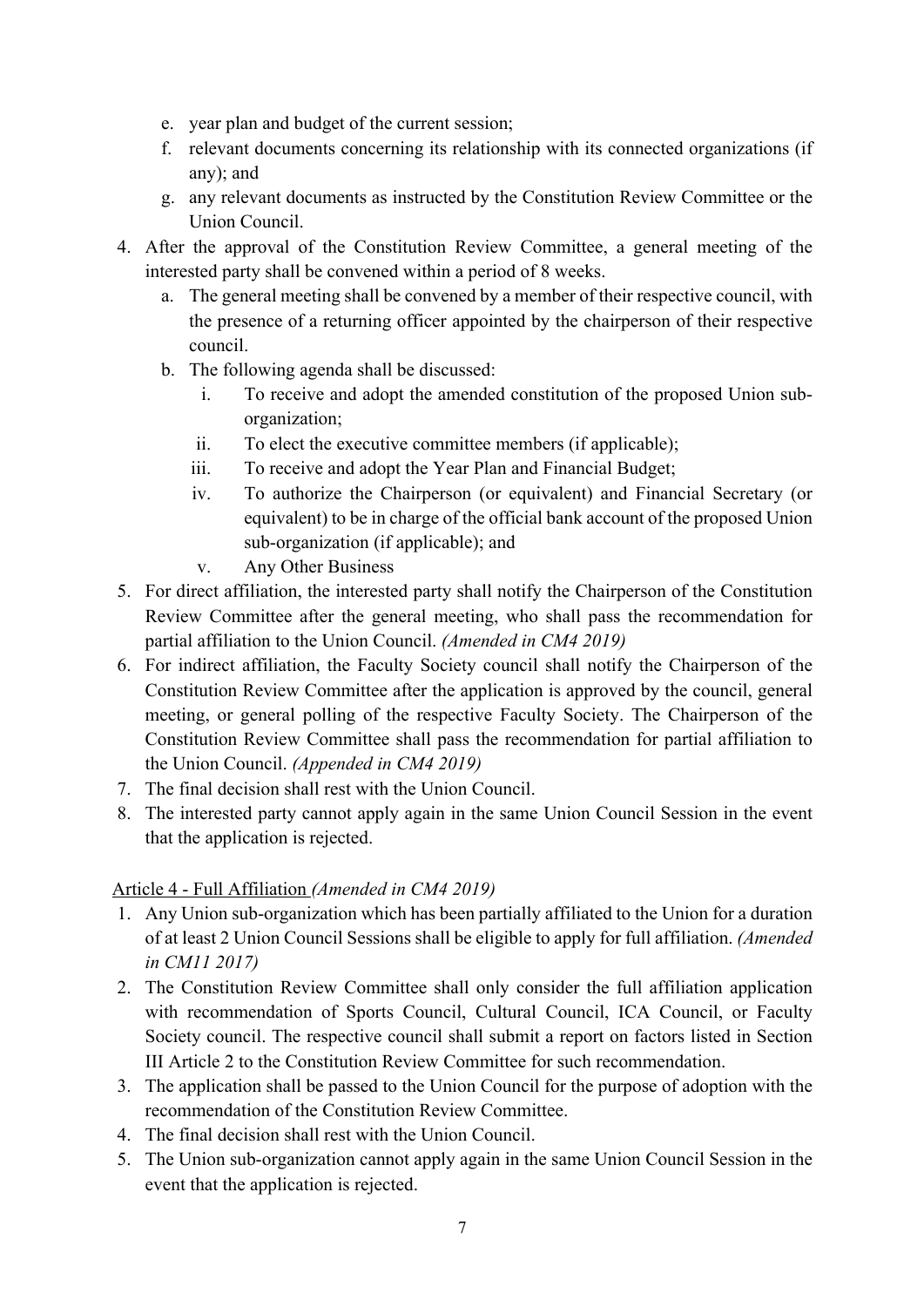- e. year plan and budget of the current session;
- f. relevant documents concerning its relationship with its connected organizations (if any); and
- g. any relevant documents as instructed by the Constitution Review Committee or the Union Council.
- 4. After the approval of the Constitution Review Committee, a general meeting of the interested party shall be convened within a period of 8 weeks.
	- a. The general meeting shall be convened by a member of their respective council, with the presence of a returning officer appointed by the chairperson of their respective council.
	- b. The following agenda shall be discussed:
		- i. To receive and adopt the amended constitution of the proposed Union suborganization;
		- ii. To elect the executive committee members (if applicable);
		- iii. To receive and adopt the Year Plan and Financial Budget;
		- iv. To authorize the Chairperson (or equivalent) and Financial Secretary (or equivalent) to be in charge of the official bank account of the proposed Union sub-organization (if applicable); and
		- v. Any Other Business
- 5. For direct affiliation, the interested party shall notify the Chairperson of the Constitution Review Committee after the general meeting, who shall pass the recommendation for partial affiliation to the Union Council. *(Amended in CM4 2019)*
- 6. For indirect affiliation, the Faculty Society council shall notify the Chairperson of the Constitution Review Committee after the application is approved by the council, general meeting, or general polling of the respective Faculty Society. The Chairperson of the Constitution Review Committee shall pass the recommendation for partial affiliation to the Union Council. *(Appended in CM4 2019)*
- 7. The final decision shall rest with the Union Council.
- 8. The interested party cannot apply again in the same Union Council Session in the event that the application is rejected.

## Article 4 - Full Affiliation *(Amended in CM4 2019)*

- 1. Any Union sub-organization which has been partially affiliated to the Union for a duration of at least 2 Union Council Sessions shall be eligible to apply for full affiliation. *(Amended in CM11 2017)*
- 2. The Constitution Review Committee shall only consider the full affiliation application with recommendation of Sports Council, Cultural Council, ICA Council, or Faculty Society council. The respective council shall submit a report on factors listed in Section III Article 2 to the Constitution Review Committee for such recommendation.
- 3. The application shall be passed to the Union Council for the purpose of adoption with the recommendation of the Constitution Review Committee.
- 4. The final decision shall rest with the Union Council.
- 5. The Union sub-organization cannot apply again in the same Union Council Session in the event that the application is rejected.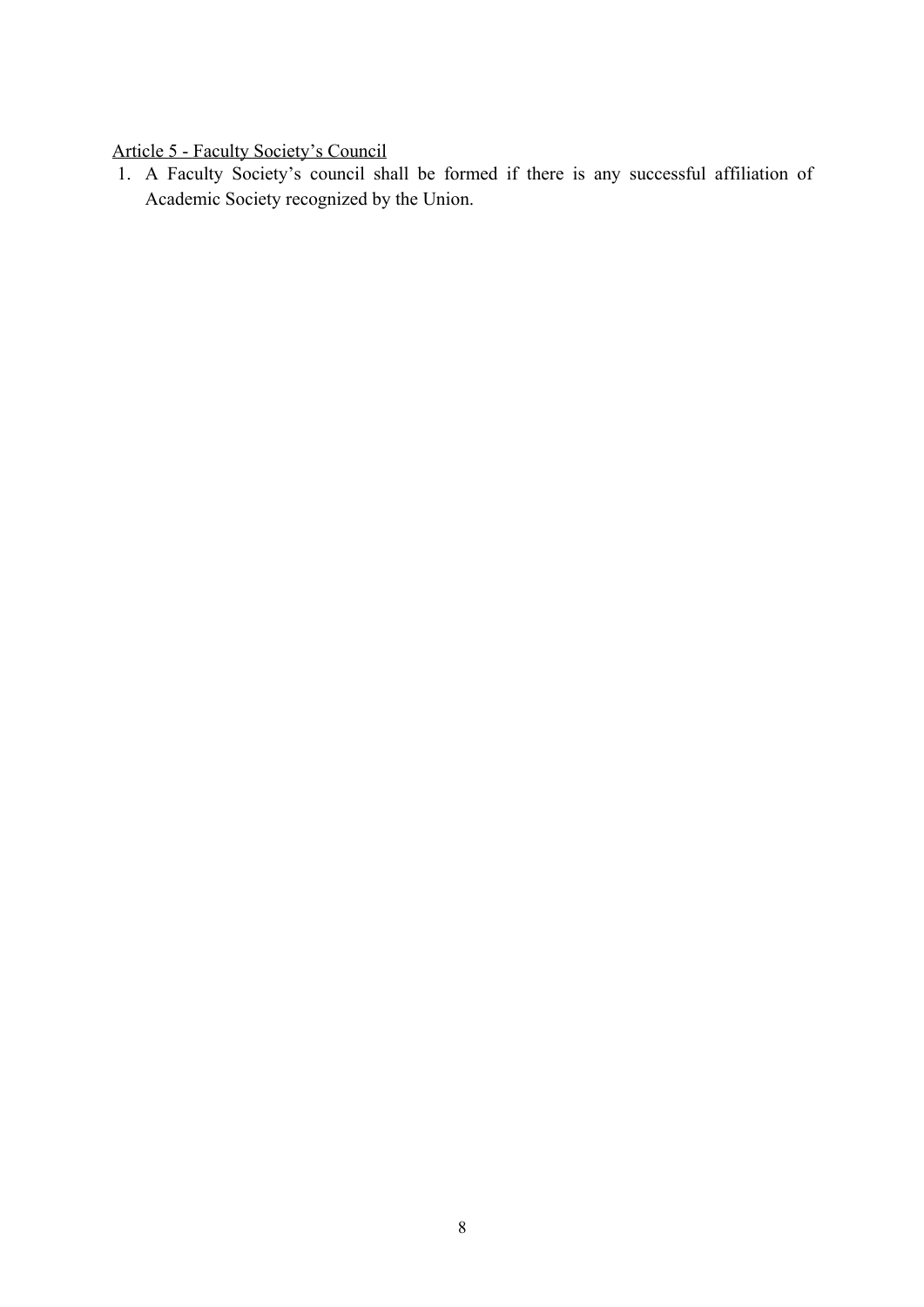## Article 5 - Faculty Society's Council

1. A Faculty Society's council shall be formed if there is any successful affiliation of Academic Society recognized by the Union.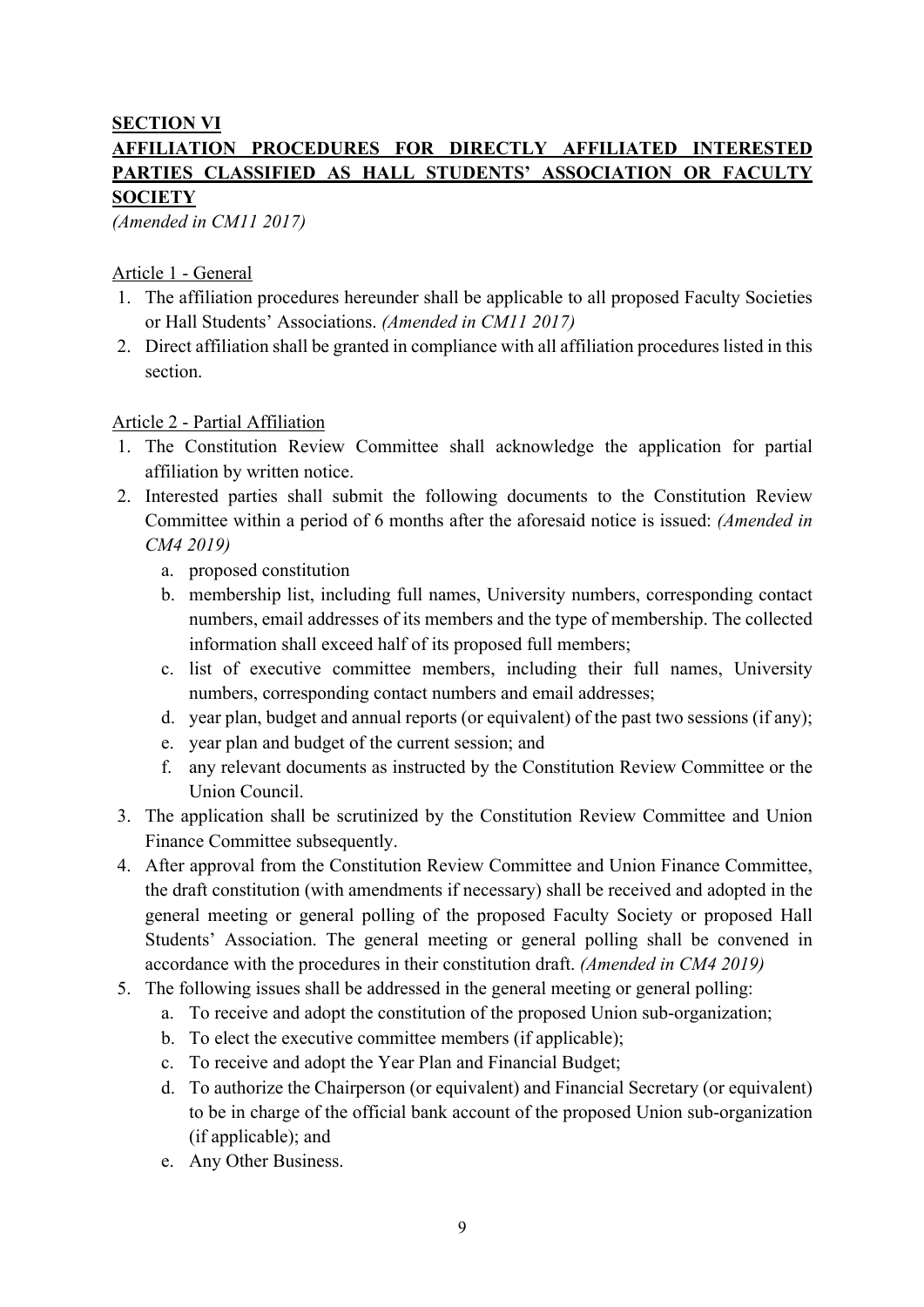### **SECTION VI**

## **AFFILIATION PROCEDURES FOR DIRECTLY AFFILIATED INTERESTED PARTIES CLASSIFIED AS HALL STUDENTS' ASSOCIATION OR FACULTY SOCIETY**

*(Amended in CM11 2017)*

#### Article 1 - General

- 1. The affiliation procedures hereunder shall be applicable to all proposed Faculty Societies or Hall Students' Associations. *(Amended in CM11 2017)*
- 2. Direct affiliation shall be granted in compliance with all affiliation procedures listed in this section.

#### Article 2 - Partial Affiliation

- 1. The Constitution Review Committee shall acknowledge the application for partial affiliation by written notice.
- 2. Interested parties shall submit the following documents to the Constitution Review Committee within a period of 6 months after the aforesaid notice is issued: *(Amended in CM4 2019)*
	- a. proposed constitution
	- b. membership list, including full names, University numbers, corresponding contact numbers, email addresses of its members and the type of membership. The collected information shall exceed half of its proposed full members;
	- c. list of executive committee members, including their full names, University numbers, corresponding contact numbers and email addresses;
	- d. year plan, budget and annual reports (or equivalent) of the past two sessions (if any);
	- e. year plan and budget of the current session; and
	- f. any relevant documents as instructed by the Constitution Review Committee or the Union Council.
- 3. The application shall be scrutinized by the Constitution Review Committee and Union Finance Committee subsequently.
- 4. After approval from the Constitution Review Committee and Union Finance Committee, the draft constitution (with amendments if necessary) shall be received and adopted in the general meeting or general polling of the proposed Faculty Society or proposed Hall Students' Association. The general meeting or general polling shall be convened in accordance with the procedures in their constitution draft. *(Amended in CM4 2019)*
- 5. The following issues shall be addressed in the general meeting or general polling:
	- a. To receive and adopt the constitution of the proposed Union sub-organization;
	- b. To elect the executive committee members (if applicable);
	- c. To receive and adopt the Year Plan and Financial Budget;
	- d. To authorize the Chairperson (or equivalent) and Financial Secretary (or equivalent) to be in charge of the official bank account of the proposed Union sub-organization (if applicable); and
	- e. Any Other Business.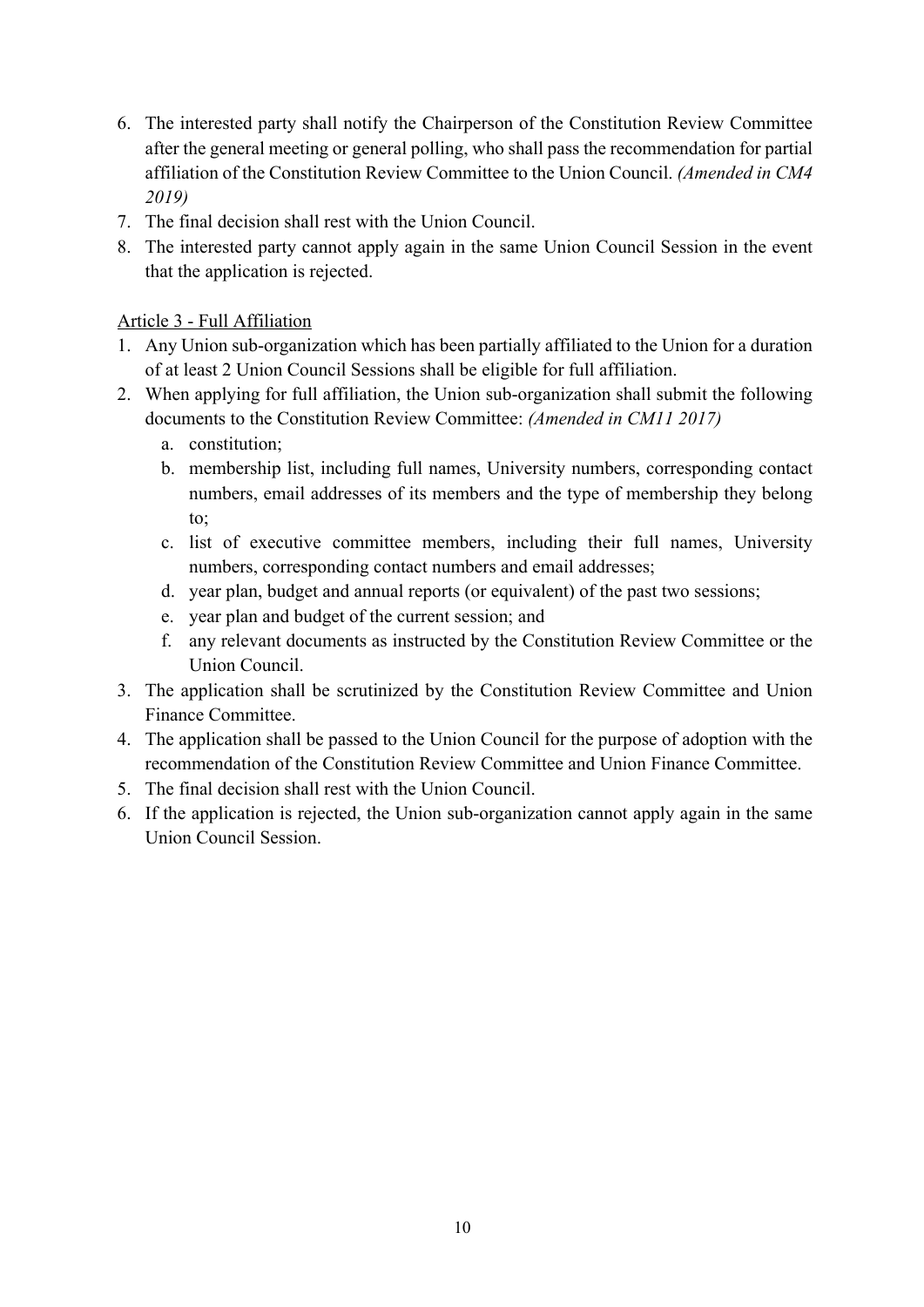- 6. The interested party shall notify the Chairperson of the Constitution Review Committee after the general meeting or general polling, who shall pass the recommendation for partial affiliation of the Constitution Review Committee to the Union Council. *(Amended in CM4 2019)*
- 7. The final decision shall rest with the Union Council.
- 8. The interested party cannot apply again in the same Union Council Session in the event that the application is rejected.

### Article 3 - Full Affiliation

- 1. Any Union sub-organization which has been partially affiliated to the Union for a duration of at least 2 Union Council Sessions shall be eligible for full affiliation.
- 2. When applying for full affiliation, the Union sub-organization shall submit the following documents to the Constitution Review Committee: *(Amended in CM11 2017)*
	- a. constitution;
	- b. membership list, including full names, University numbers, corresponding contact numbers, email addresses of its members and the type of membership they belong to;
	- c. list of executive committee members, including their full names, University numbers, corresponding contact numbers and email addresses;
	- d. year plan, budget and annual reports (or equivalent) of the past two sessions;
	- e. year plan and budget of the current session; and
	- f. any relevant documents as instructed by the Constitution Review Committee or the Union Council.
- 3. The application shall be scrutinized by the Constitution Review Committee and Union Finance Committee.
- 4. The application shall be passed to the Union Council for the purpose of adoption with the recommendation of the Constitution Review Committee and Union Finance Committee.
- 5. The final decision shall rest with the Union Council.
- 6. If the application is rejected, the Union sub-organization cannot apply again in the same Union Council Session.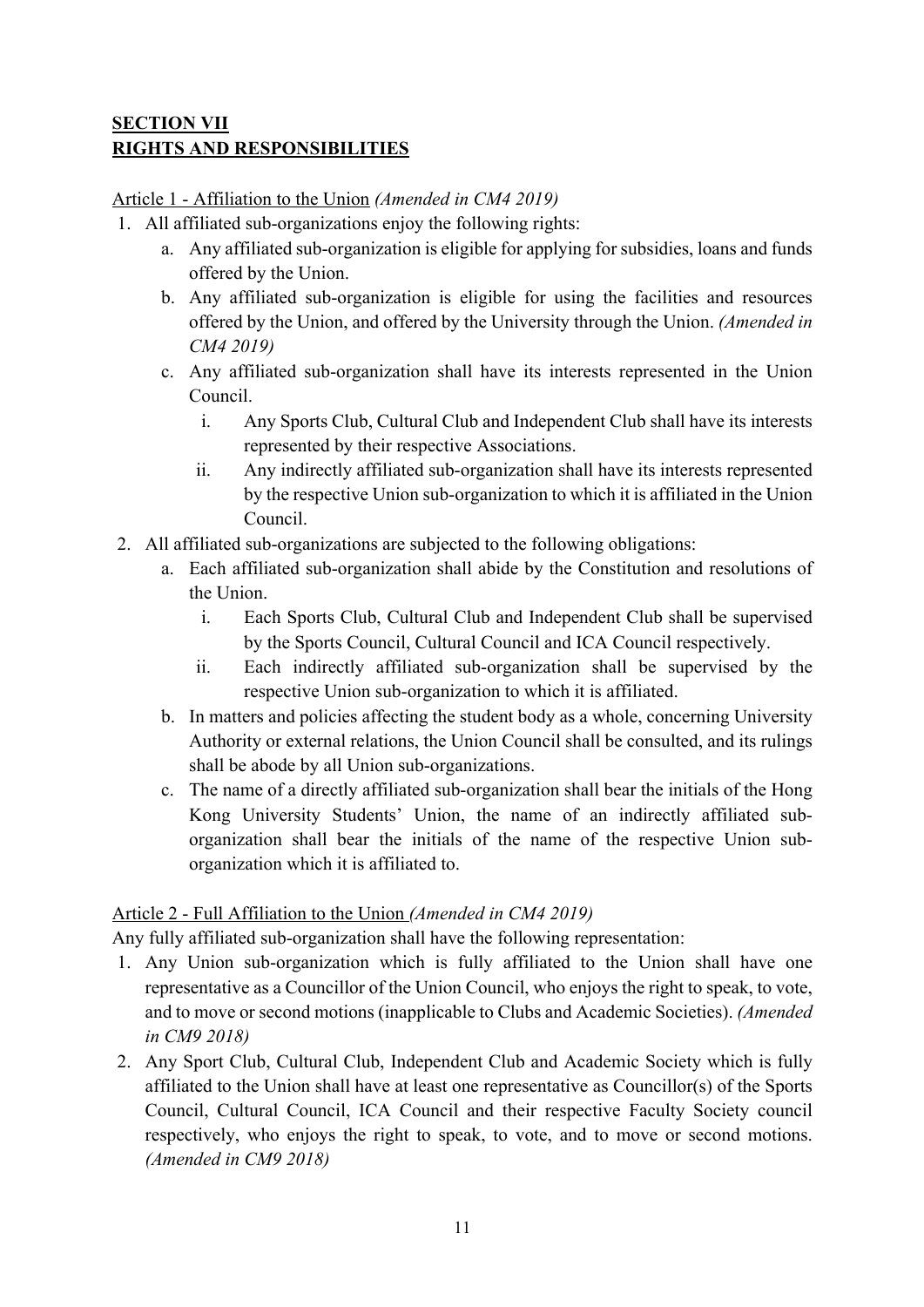## **SECTION VII RIGHTS AND RESPONSIBILITIES**

Article 1 - Affiliation to the Union *(Amended in CM4 2019)*

- 1. All affiliated sub-organizations enjoy the following rights:
	- a. Any affiliated sub-organization is eligible for applying for subsidies, loans and funds offered by the Union.
	- b. Any affiliated sub-organization is eligible for using the facilities and resources offered by the Union, and offered by the University through the Union. *(Amended in CM4 2019)*
	- c. Any affiliated sub-organization shall have its interests represented in the Union Council.
		- i. Any Sports Club, Cultural Club and Independent Club shall have its interests represented by their respective Associations.
		- ii. Any indirectly affiliated sub-organization shall have its interests represented by the respective Union sub-organization to which it is affiliated in the Union Council.
- 2. All affiliated sub-organizations are subjected to the following obligations:
	- a. Each affiliated sub-organization shall abide by the Constitution and resolutions of the Union.
		- i. Each Sports Club, Cultural Club and Independent Club shall be supervised by the Sports Council, Cultural Council and ICA Council respectively.
		- ii. Each indirectly affiliated sub-organization shall be supervised by the respective Union sub-organization to which it is affiliated.
	- b. In matters and policies affecting the student body as a whole, concerning University Authority or external relations, the Union Council shall be consulted, and its rulings shall be abode by all Union sub-organizations.
	- c. The name of a directly affiliated sub-organization shall bear the initials of the Hong Kong University Students' Union, the name of an indirectly affiliated suborganization shall bear the initials of the name of the respective Union suborganization which it is affiliated to.

## Article 2 - Full Affiliation to the Union *(Amended in CM4 2019)*

Any fully affiliated sub-organization shall have the following representation:

- 1. Any Union sub-organization which is fully affiliated to the Union shall have one representative as a Councillor of the Union Council, who enjoys the right to speak, to vote, and to move or second motions (inapplicable to Clubs and Academic Societies). *(Amended in CM9 2018)*
- 2. Any Sport Club, Cultural Club, Independent Club and Academic Society which is fully affiliated to the Union shall have at least one representative as Councillor(s) of the Sports Council, Cultural Council, ICA Council and their respective Faculty Society council respectively, who enjoys the right to speak, to vote, and to move or second motions. *(Amended in CM9 2018)*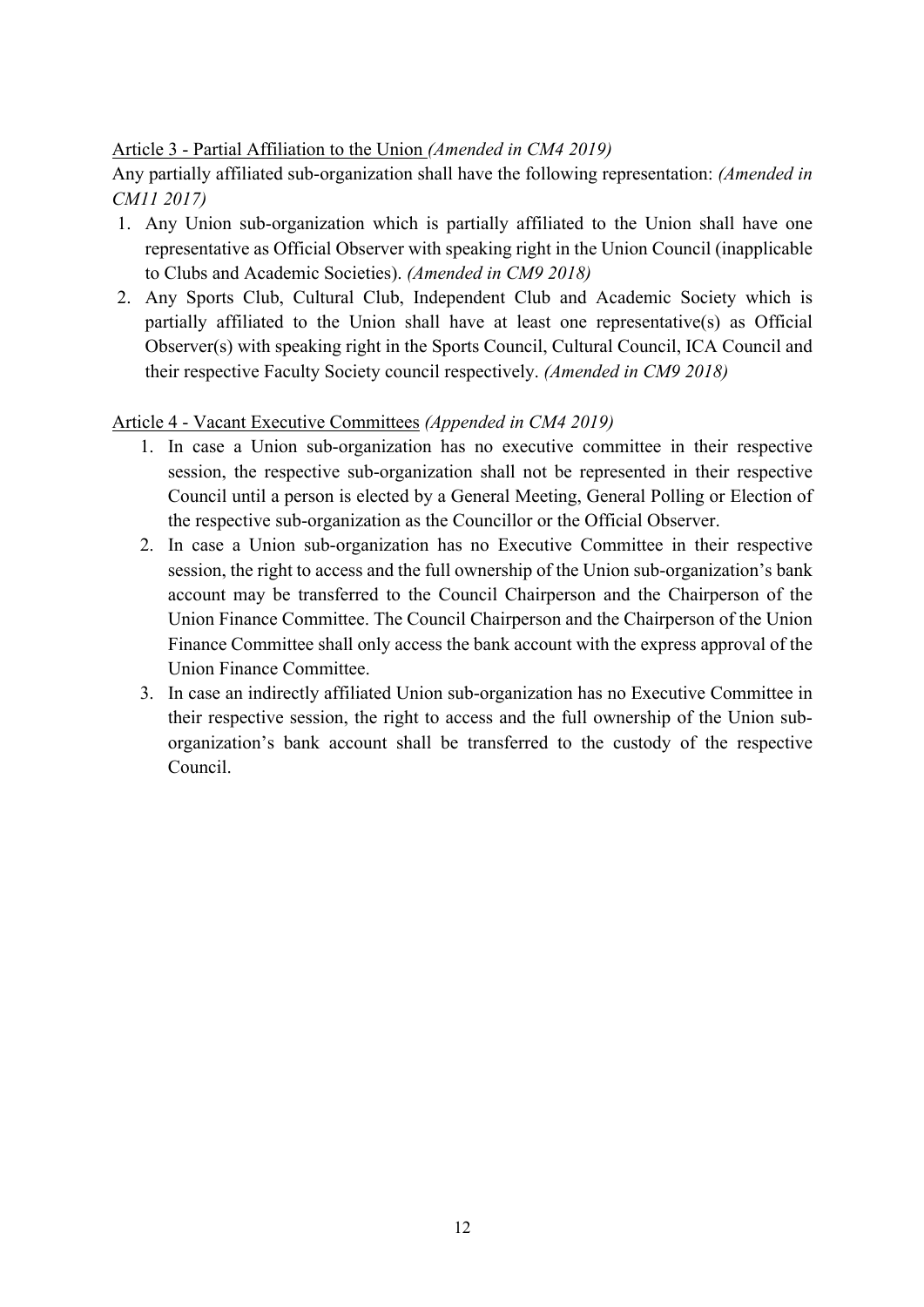### Article 3 - Partial Affiliation to the Union *(Amended in CM4 2019)*

Any partially affiliated sub-organization shall have the following representation: *(Amended in CM11 2017)*

- 1. Any Union sub-organization which is partially affiliated to the Union shall have one representative as Official Observer with speaking right in the Union Council (inapplicable to Clubs and Academic Societies). *(Amended in CM9 2018)*
- 2. Any Sports Club, Cultural Club, Independent Club and Academic Society which is partially affiliated to the Union shall have at least one representative(s) as Official Observer(s) with speaking right in the Sports Council, Cultural Council, ICA Council and their respective Faculty Society council respectively. *(Amended in CM9 2018)*

## Article 4 - Vacant Executive Committees *(Appended in CM4 2019)*

- 1. In case a Union sub-organization has no executive committee in their respective session, the respective sub-organization shall not be represented in their respective Council until a person is elected by a General Meeting, General Polling or Election of the respective sub-organization as the Councillor or the Official Observer.
- 2. In case a Union sub-organization has no Executive Committee in their respective session, the right to access and the full ownership of the Union sub-organization's bank account may be transferred to the Council Chairperson and the Chairperson of the Union Finance Committee. The Council Chairperson and the Chairperson of the Union Finance Committee shall only access the bank account with the express approval of the Union Finance Committee.
- 3. In case an indirectly affiliated Union sub-organization has no Executive Committee in their respective session, the right to access and the full ownership of the Union suborganization's bank account shall be transferred to the custody of the respective Council.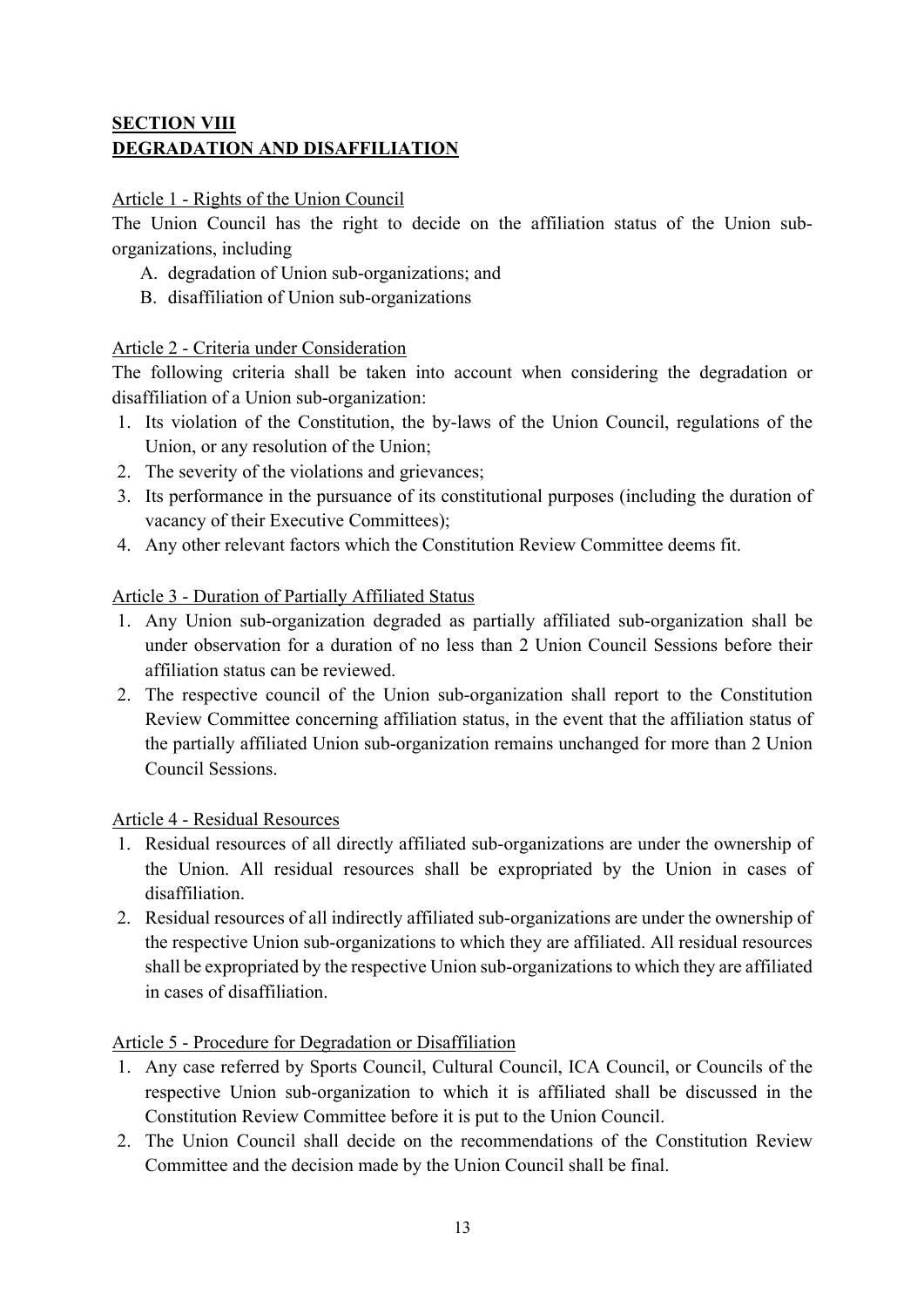## **SECTION VIII DEGRADATION AND DISAFFILIATION**

#### Article 1 - Rights of the Union Council

The Union Council has the right to decide on the affiliation status of the Union suborganizations, including

- A. degradation of Union sub-organizations; and
- B. disaffiliation of Union sub-organizations

### Article 2 - Criteria under Consideration

The following criteria shall be taken into account when considering the degradation or disaffiliation of a Union sub-organization:

- 1. Its violation of the Constitution, the by-laws of the Union Council, regulations of the Union, or any resolution of the Union;
- 2. The severity of the violations and grievances;
- 3. Its performance in the pursuance of its constitutional purposes (including the duration of vacancy of their Executive Committees);
- 4. Any other relevant factors which the Constitution Review Committee deems fit.

### Article 3 - Duration of Partially Affiliated Status

- 1. Any Union sub-organization degraded as partially affiliated sub-organization shall be under observation for a duration of no less than 2 Union Council Sessions before their affiliation status can be reviewed.
- 2. The respective council of the Union sub-organization shall report to the Constitution Review Committee concerning affiliation status, in the event that the affiliation status of the partially affiliated Union sub-organization remains unchanged for more than 2 Union Council Sessions.

#### Article 4 - Residual Resources

- 1. Residual resources of all directly affiliated sub-organizations are under the ownership of the Union. All residual resources shall be expropriated by the Union in cases of disaffiliation.
- 2. Residual resources of all indirectly affiliated sub-organizations are under the ownership of the respective Union sub-organizations to which they are affiliated. All residual resources shall be expropriated by the respective Union sub-organizations to which they are affiliated in cases of disaffiliation.

#### Article 5 - Procedure for Degradation or Disaffiliation

- 1. Any case referred by Sports Council, Cultural Council, ICA Council, or Councils of the respective Union sub-organization to which it is affiliated shall be discussed in the Constitution Review Committee before it is put to the Union Council.
- 2. The Union Council shall decide on the recommendations of the Constitution Review Committee and the decision made by the Union Council shall be final.